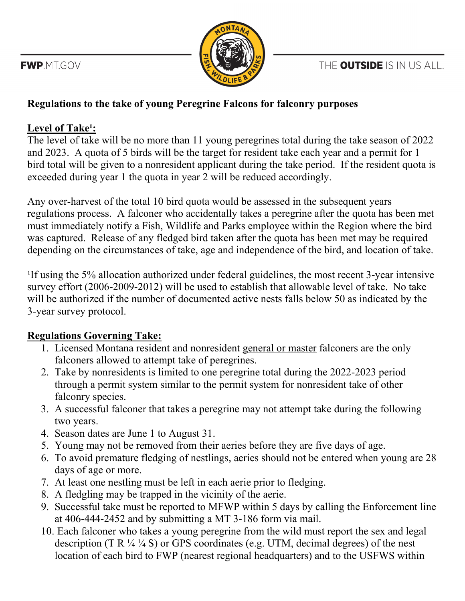THE OUTSIDE IS IN US ALL.



## **Regulations to the take of young Peregrine Falcons for falconry purposes**

## Level of Take<sup>1</sup>:

The level of take will be no more than 11 young peregrines total during the take season of 2022 and 2023. A quota of 5 birds will be the target for resident take each year and a permit for 1 bird total will be given to a nonresident applicant during the take period. If the resident quota is exceeded during year 1 the quota in year 2 will be reduced accordingly.

Any over-harvest of the total 10 bird quota would be assessed in the subsequent years regulations process. A falconer who accidentally takes a peregrine after the quota has been met must immediately notify a Fish, Wildlife and Parks employee within the Region where the bird was captured. Release of any fledged bird taken after the quota has been met may be required depending on the circumstances of take, age and independence of the bird, and location of take.

<sup>1</sup>If using the 5% allocation authorized under federal guidelines, the most recent 3-year intensive survey effort (2006-2009-2012) will be used to establish that allowable level of take. No take will be authorized if the number of documented active nests falls below 50 as indicated by the 3-year survey protocol.

## **Regulations Governing Take:**

- 1. Licensed Montana resident and nonresident general or master falconers are the only falconers allowed to attempt take of peregrines.
- 2. Take by nonresidents is limited to one peregrine total during the 2022-2023 period through a permit system similar to the permit system for nonresident take of other falconry species.
- 3. A successful falconer that takes a peregrine may not attempt take during the following two years.
- 4. Season dates are June 1 to August 31.
- 5. Young may not be removed from their aeries before they are five days of age.
- 6. To avoid premature fledging of nestlings, aeries should not be entered when young are 28 days of age or more.
- 7. At least one nestling must be left in each aerie prior to fledging.
- 8. A fledgling may be trapped in the vicinity of the aerie.
- 9. Successful take must be reported to MFWP within 5 days by calling the Enforcement line at 406-444-2452 and by submitting a MT 3-186 form via mail.
- 10. Each falconer who takes a young peregrine from the wild must report the sex and legal description (T R  $\frac{1}{4}$   $\frac{1}{4}$  S) or GPS coordinates (e.g. UTM, decimal degrees) of the nest location of each bird to FWP (nearest regional headquarters) and to the USFWS within